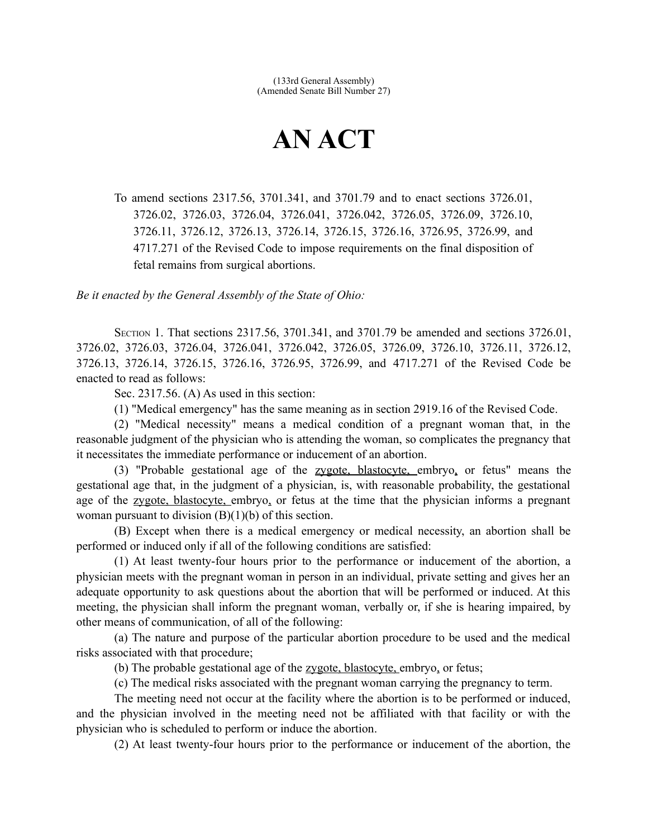## **AN ACT**

To amend sections 2317.56, 3701.341, and 3701.79 and to enact sections 3726.01, 3726.02, 3726.03, 3726.04, 3726.041, 3726.042, 3726.05, 3726.09, 3726.10, 3726.11, 3726.12, 3726.13, 3726.14, 3726.15, 3726.16, 3726.95, 3726.99, and 4717.271 of the Revised Code to impose requirements on the final disposition of fetal remains from surgical abortions.

*Be it enacted by the General Assembly of the State of Ohio:*

SECTION 1. That sections 2317.56, 3701.341, and 3701.79 be amended and sections 3726.01, 3726.02, 3726.03, 3726.04, 3726.041, 3726.042, 3726.05, 3726.09, 3726.10, 3726.11, 3726.12, 3726.13, 3726.14, 3726.15, 3726.16, 3726.95, 3726.99, and 4717.271 of the Revised Code be enacted to read as follows:

Sec. 2317.56. (A) As used in this section:

(1) "Medical emergency" has the same meaning as in section 2919.16 of the Revised Code.

(2) "Medical necessity" means a medical condition of a pregnant woman that, in the reasonable judgment of the physician who is attending the woman, so complicates the pregnancy that it necessitates the immediate performance or inducement of an abortion.

(3) "Probable gestational age of the zygote, blastocyte, embryo, or fetus" means the gestational age that, in the judgment of a physician, is, with reasonable probability, the gestational age of the zygote, blastocyte, embryo, or fetus at the time that the physician informs a pregnant woman pursuant to division  $(B)(1)(b)$  of this section.

(B) Except when there is a medical emergency or medical necessity, an abortion shall be performed or induced only if all of the following conditions are satisfied:

(1) At least twenty-four hours prior to the performance or inducement of the abortion, a physician meets with the pregnant woman in person in an individual, private setting and gives her an adequate opportunity to ask questions about the abortion that will be performed or induced. At this meeting, the physician shall inform the pregnant woman, verbally or, if she is hearing impaired, by other means of communication, of all of the following:

(a) The nature and purpose of the particular abortion procedure to be used and the medical risks associated with that procedure;

(b) The probable gestational age of the zygote, blastocyte, embryo, or fetus;

(c) The medical risks associated with the pregnant woman carrying the pregnancy to term.

The meeting need not occur at the facility where the abortion is to be performed or induced, and the physician involved in the meeting need not be affiliated with that facility or with the physician who is scheduled to perform or induce the abortion.

(2) At least twenty-four hours prior to the performance or inducement of the abortion, the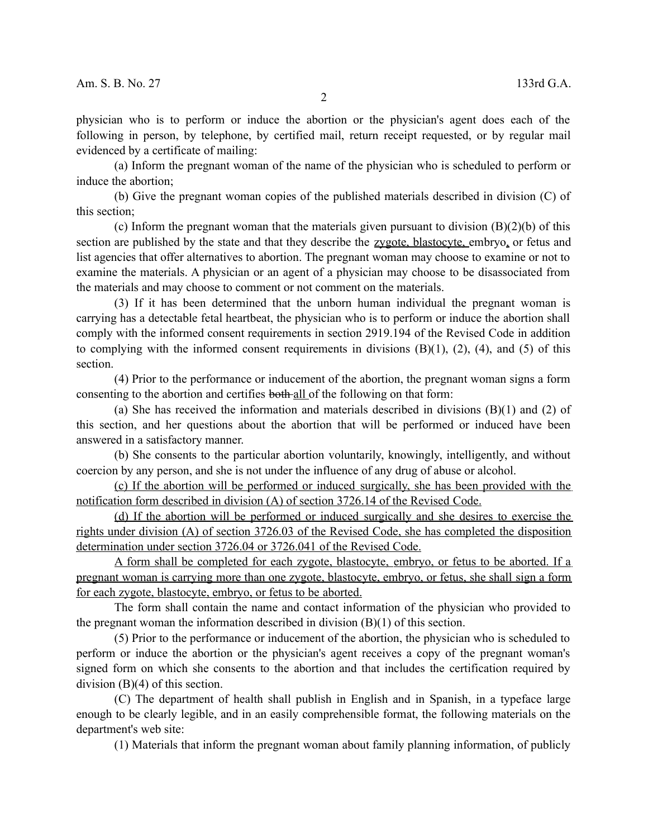2

physician who is to perform or induce the abortion or the physician's agent does each of the following in person, by telephone, by certified mail, return receipt requested, or by regular mail evidenced by a certificate of mailing:

(a) Inform the pregnant woman of the name of the physician who is scheduled to perform or induce the abortion;

(b) Give the pregnant woman copies of the published materials described in division (C) of this section;

(c) Inform the pregnant woman that the materials given pursuant to division  $(B)(2)(b)$  of this section are published by the state and that they describe the zygote, blastocyte, embryo, or fetus and list agencies that offer alternatives to abortion. The pregnant woman may choose to examine or not to examine the materials. A physician or an agent of a physician may choose to be disassociated from the materials and may choose to comment or not comment on the materials.

(3) If it has been determined that the unborn human individual the pregnant woman is carrying has a detectable fetal heartbeat, the physician who is to perform or induce the abortion shall comply with the informed consent requirements in section 2919.194 of the Revised Code in addition to complying with the informed consent requirements in divisions  $(B)(1)$ ,  $(2)$ ,  $(4)$ , and  $(5)$  of this section.

(4) Prior to the performance or inducement of the abortion, the pregnant woman signs a form consenting to the abortion and certifies both all of the following on that form:

(a) She has received the information and materials described in divisions (B)(1) and (2) of this section, and her questions about the abortion that will be performed or induced have been answered in a satisfactory manner.

(b) She consents to the particular abortion voluntarily, knowingly, intelligently, and without coercion by any person, and she is not under the influence of any drug of abuse or alcohol.

 (c) If the abortion will be performed or induced surgically, she has been provided with the notification form described in division (A) of section 3726.14 of the Revised Code.

 (d) If the abortion will be performed or induced surgically and she desires to exercise the rights under division (A) of section 3726.03 of the Revised Code, she has completed the disposition determination under section 3726.04 or 3726.041 of the Revised Code.

 A form shall be completed for each zygote, blastocyte, embryo, or fetus to be aborted. If a pregnant woman is carrying more than one zygote, blastocyte, embryo, or fetus, she shall sign a form for each zygote, blastocyte, embryo, or fetus to be aborted.

The form shall contain the name and contact information of the physician who provided to the pregnant woman the information described in division (B)(1) of this section.

(5) Prior to the performance or inducement of the abortion, the physician who is scheduled to perform or induce the abortion or the physician's agent receives a copy of the pregnant woman's signed form on which she consents to the abortion and that includes the certification required by division (B)(4) of this section.

(C) The department of health shall publish in English and in Spanish, in a typeface large enough to be clearly legible, and in an easily comprehensible format, the following materials on the department's web site:

(1) Materials that inform the pregnant woman about family planning information, of publicly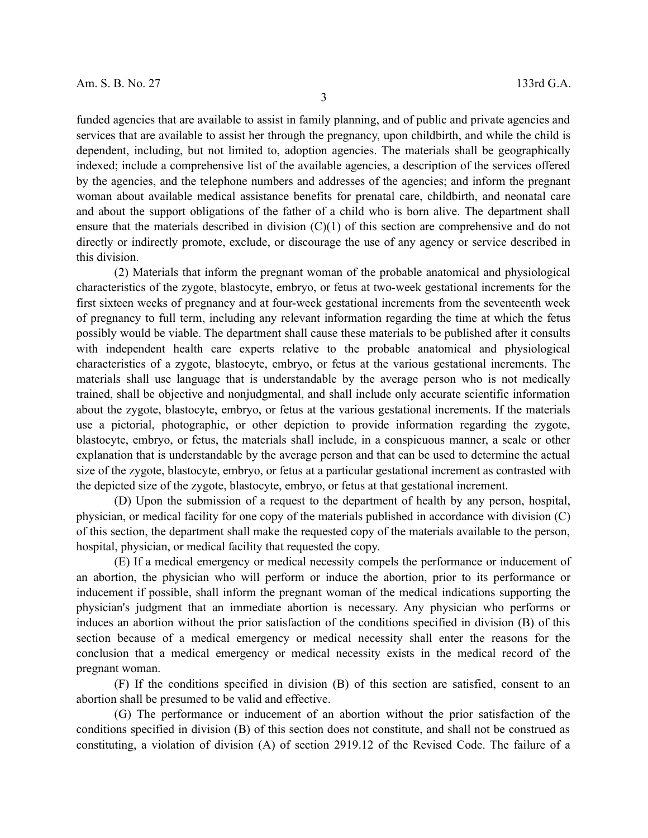funded agencies that are available to assist in family planning, and of public and private agencies and services that are available to assist her through the pregnancy, upon childbirth, and while the child is dependent, including, but not limited to, adoption agencies. The materials shall be geographically indexed; include a comprehensive list of the available agencies, a description of the services offered by the agencies, and the telephone numbers and addresses of the agencies; and inform the pregnant woman about available medical assistance benefits for prenatal care, childbirth, and neonatal care and about the support obligations of the father of a child who is born alive. The department shall ensure that the materials described in division (C)(1) of this section are comprehensive and do not directly or indirectly promote, exclude, or discourage the use of any agency or service described in this division.

(2) Materials that inform the pregnant woman of the probable anatomical and physiological characteristics of the zygote, blastocyte, embryo, or fetus at two-week gestational increments for the first sixteen weeks of pregnancy and at four-week gestational increments from the seventeenth week of pregnancy to full term, including any relevant information regarding the time at which the fetus possibly would be viable. The department shall cause these materials to be published after it consults with independent health care experts relative to the probable anatomical and physiological characteristics of a zygote, blastocyte, embryo, or fetus at the various gestational increments. The materials shall use language that is understandable by the average person who is not medically trained, shall be objective and nonjudgmental, and shall include only accurate scientific information about the zygote, blastocyte, embryo, or fetus at the various gestational increments. If the materials use a pictorial, photographic, or other depiction to provide information regarding the zygote, blastocyte, embryo, or fetus, the materials shall include, in a conspicuous manner, a scale or other explanation that is understandable by the average person and that can be used to determine the actual size of the zygote, blastocyte, embryo, or fetus at a particular gestational increment as contrasted with the depicted size of the zygote, blastocyte, embryo, or fetus at that gestational increment.

(D) Upon the submission of a request to the department of health by any person, hospital, physician, or medical facility for one copy of the materials published in accordance with division (C) of this section, the department shall make the requested copy of the materials available to the person, hospital, physician, or medical facility that requested the copy.

(E) If a medical emergency or medical necessity compels the performance or inducement of an abortion, the physician who will perform or induce the abortion, prior to its performance or inducement if possible, shall inform the pregnant woman of the medical indications supporting the physician's judgment that an immediate abortion is necessary. Any physician who performs or induces an abortion without the prior satisfaction of the conditions specified in division (B) of this section because of a medical emergency or medical necessity shall enter the reasons for the conclusion that a medical emergency or medical necessity exists in the medical record of the pregnant woman.

(F) If the conditions specified in division (B) of this section are satisfied, consent to an abortion shall be presumed to be valid and effective.

(G) The performance or inducement of an abortion without the prior satisfaction of the conditions specified in division (B) of this section does not constitute, and shall not be construed as constituting, a violation of division (A) of section 2919.12 of the Revised Code. The failure of a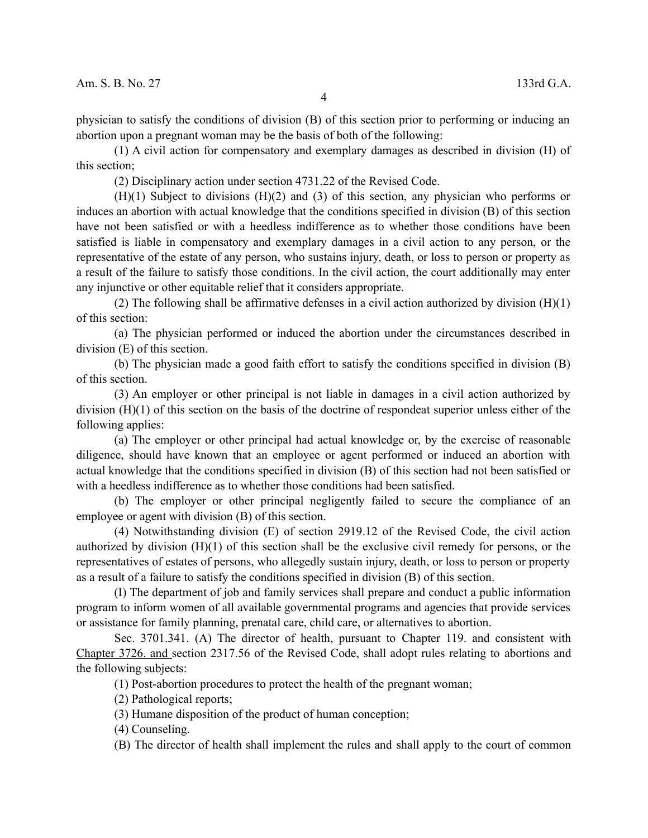physician to satisfy the conditions of division (B) of this section prior to performing or inducing an abortion upon a pregnant woman may be the basis of both of the following:

(1) A civil action for compensatory and exemplary damages as described in division (H) of this section;

(2) Disciplinary action under section 4731.22 of the Revised Code.

(H)(1) Subject to divisions (H)(2) and (3) of this section, any physician who performs or induces an abortion with actual knowledge that the conditions specified in division (B) of this section have not been satisfied or with a heedless indifference as to whether those conditions have been satisfied is liable in compensatory and exemplary damages in a civil action to any person, or the representative of the estate of any person, who sustains injury, death, or loss to person or property as a result of the failure to satisfy those conditions. In the civil action, the court additionally may enter any injunctive or other equitable relief that it considers appropriate.

(2) The following shall be affirmative defenses in a civil action authorized by division (H)(1) of this section:

(a) The physician performed or induced the abortion under the circumstances described in division (E) of this section.

(b) The physician made a good faith effort to satisfy the conditions specified in division (B) of this section.

(3) An employer or other principal is not liable in damages in a civil action authorized by division (H)(1) of this section on the basis of the doctrine of respondeat superior unless either of the following applies:

(a) The employer or other principal had actual knowledge or, by the exercise of reasonable diligence, should have known that an employee or agent performed or induced an abortion with actual knowledge that the conditions specified in division (B) of this section had not been satisfied or with a heedless indifference as to whether those conditions had been satisfied.

(b) The employer or other principal negligently failed to secure the compliance of an employee or agent with division (B) of this section.

(4) Notwithstanding division (E) of section 2919.12 of the Revised Code, the civil action authorized by division (H)(1) of this section shall be the exclusive civil remedy for persons, or the representatives of estates of persons, who allegedly sustain injury, death, or loss to person or property as a result of a failure to satisfy the conditions specified in division (B) of this section.

(I) The department of job and family services shall prepare and conduct a public information program to inform women of all available governmental programs and agencies that provide services or assistance for family planning, prenatal care, child care, or alternatives to abortion.

Sec. 3701.341. (A) The director of health, pursuant to Chapter 119. and consistent with Chapter 3726. and section 2317.56 of the Revised Code, shall adopt rules relating to abortions and the following subjects:

(1) Post-abortion procedures to protect the health of the pregnant woman;

(2) Pathological reports;

(3) Humane disposition of the product of human conception;

(4) Counseling.

(B) The director of health shall implement the rules and shall apply to the court of common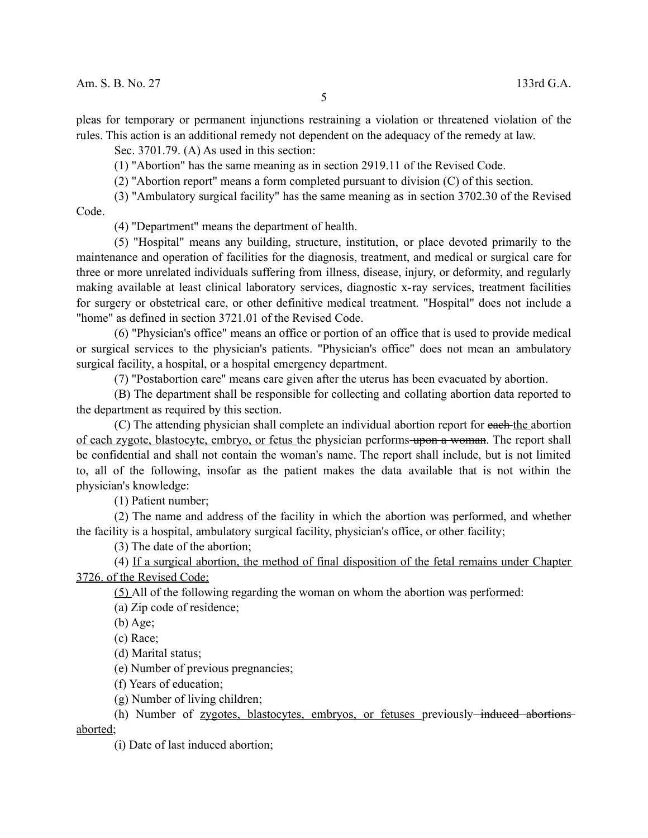pleas for temporary or permanent injunctions restraining a violation or threatened violation of the rules. This action is an additional remedy not dependent on the adequacy of the remedy at law.

Sec. 3701.79. (A) As used in this section:

(1) "Abortion" has the same meaning as in section 2919.11 of the Revised Code.

(2) "Abortion report" means a form completed pursuant to division (C) of this section.

(3) "Ambulatory surgical facility" has the same meaning as in section 3702.30 of the Revised Code.

(4) "Department" means the department of health.

(5) "Hospital" means any building, structure, institution, or place devoted primarily to the maintenance and operation of facilities for the diagnosis, treatment, and medical or surgical care for three or more unrelated individuals suffering from illness, disease, injury, or deformity, and regularly making available at least clinical laboratory services, diagnostic x-ray services, treatment facilities for surgery or obstetrical care, or other definitive medical treatment. "Hospital" does not include a "home" as defined in section 3721.01 of the Revised Code.

(6) "Physician's office" means an office or portion of an office that is used to provide medical or surgical services to the physician's patients. "Physician's office" does not mean an ambulatory surgical facility, a hospital, or a hospital emergency department.

(7) "Postabortion care" means care given after the uterus has been evacuated by abortion.

(B) The department shall be responsible for collecting and collating abortion data reported to the department as required by this section.

(C) The attending physician shall complete an individual abortion report for each-the abortion of each zygote, blastocyte, embryo, or fetus the physician performs-upon a woman. The report shall be confidential and shall not contain the woman's name. The report shall include, but is not limited to, all of the following, insofar as the patient makes the data available that is not within the physician's knowledge:

(1) Patient number;

(2) The name and address of the facility in which the abortion was performed, and whether the facility is a hospital, ambulatory surgical facility, physician's office, or other facility;

(3) The date of the abortion;

(4) If a surgical abortion, the method of final disposition of the fetal remains under Chapter 3726. of the Revised Code;

(5) All of the following regarding the woman on whom the abortion was performed:

(a) Zip code of residence;

(b) Age;

(c) Race;

(d) Marital status;

(e) Number of previous pregnancies;

(f) Years of education;

(g) Number of living children;

(h) Number of zygotes, blastocytes, embryos, or fetuses previously–induced abortionsaborted;

(i) Date of last induced abortion;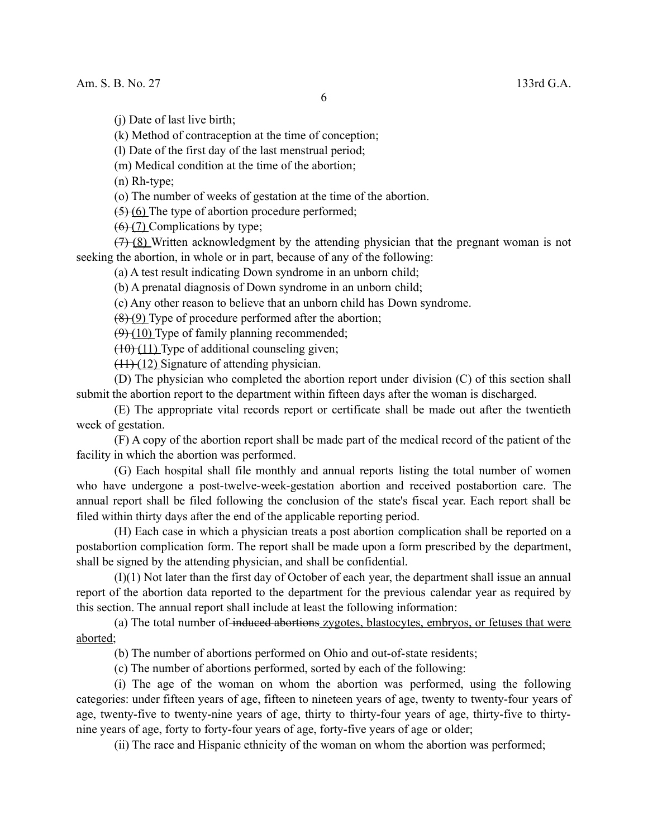6

(j) Date of last live birth;

(k) Method of contraception at the time of conception;

(l) Date of the first day of the last menstrual period;

(m) Medical condition at the time of the abortion;

(n) Rh-type;

(o) The number of weeks of gestation at the time of the abortion.

 $(5)$  (6) The type of abortion procedure performed;

 $(6)$  (7) Complications by type;

(7) (8) Written acknowledgment by the attending physician that the pregnant woman is not seeking the abortion, in whole or in part, because of any of the following:

(a) A test result indicating Down syndrome in an unborn child;

(b) A prenatal diagnosis of Down syndrome in an unborn child;

(c) Any other reason to believe that an unborn child has Down syndrome.

 $(8)(9)$  Type of procedure performed after the abortion;

 $(9)$  (10) Type of family planning recommended;

 $(10)$  (11) Type of additional counseling given;

 $(11)$  (12) Signature of attending physician.

(D) The physician who completed the abortion report under division (C) of this section shall submit the abortion report to the department within fifteen days after the woman is discharged.

(E) The appropriate vital records report or certificate shall be made out after the twentieth week of gestation.

(F) A copy of the abortion report shall be made part of the medical record of the patient of the facility in which the abortion was performed.

(G) Each hospital shall file monthly and annual reports listing the total number of women who have undergone a post-twelve-week-gestation abortion and received postabortion care. The annual report shall be filed following the conclusion of the state's fiscal year. Each report shall be filed within thirty days after the end of the applicable reporting period.

(H) Each case in which a physician treats a post abortion complication shall be reported on a postabortion complication form. The report shall be made upon a form prescribed by the department, shall be signed by the attending physician, and shall be confidential.

(I)(1) Not later than the first day of October of each year, the department shall issue an annual report of the abortion data reported to the department for the previous calendar year as required by this section. The annual report shall include at least the following information:

(a) The total number of induced abortions zygotes, blastocytes, embryos, or fetuses that were aborted;

(b) The number of abortions performed on Ohio and out-of-state residents;

(c) The number of abortions performed, sorted by each of the following:

(i) The age of the woman on whom the abortion was performed, using the following categories: under fifteen years of age, fifteen to nineteen years of age, twenty to twenty-four years of age, twenty-five to twenty-nine years of age, thirty to thirty-four years of age, thirty-five to thirtynine years of age, forty to forty-four years of age, forty-five years of age or older;

(ii) The race and Hispanic ethnicity of the woman on whom the abortion was performed;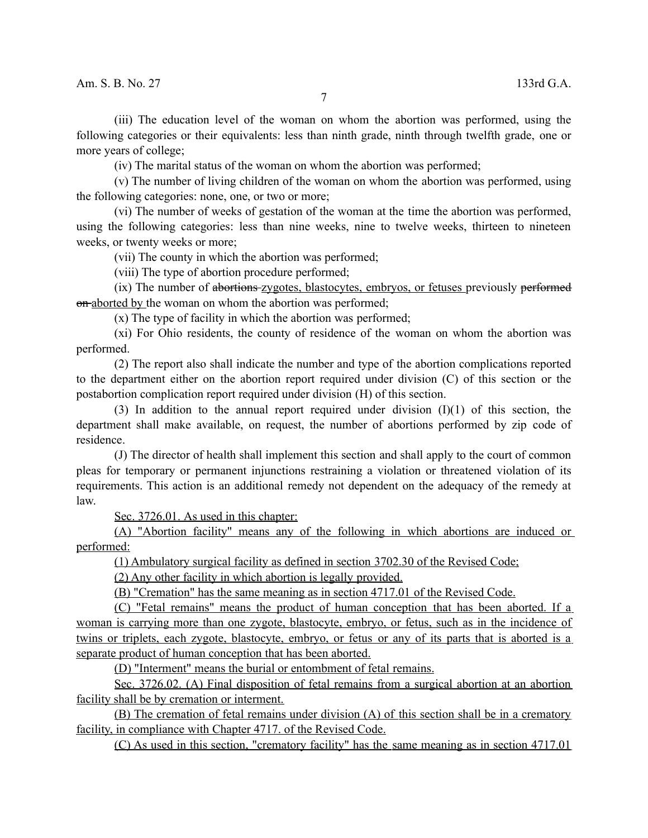(iii) The education level of the woman on whom the abortion was performed, using the following categories or their equivalents: less than ninth grade, ninth through twelfth grade, one or more years of college;

(iv) The marital status of the woman on whom the abortion was performed;

(v) The number of living children of the woman on whom the abortion was performed, using the following categories: none, one, or two or more;

(vi) The number of weeks of gestation of the woman at the time the abortion was performed, using the following categories: less than nine weeks, nine to twelve weeks, thirteen to nineteen weeks, or twenty weeks or more;

(vii) The county in which the abortion was performed;

(viii) The type of abortion procedure performed;

(ix) The number of abortions zygotes, blastocytes, embryos, or fetuses previously performed on aborted by the woman on whom the abortion was performed;

(x) The type of facility in which the abortion was performed;

(xi) For Ohio residents, the county of residence of the woman on whom the abortion was performed.

(2) The report also shall indicate the number and type of the abortion complications reported to the department either on the abortion report required under division (C) of this section or the postabortion complication report required under division (H) of this section.

(3) In addition to the annual report required under division (I)(1) of this section, the department shall make available, on request, the number of abortions performed by zip code of residence.

(J) The director of health shall implement this section and shall apply to the court of common pleas for temporary or permanent injunctions restraining a violation or threatened violation of its requirements. This action is an additional remedy not dependent on the adequacy of the remedy at law.

Sec. 3726.01. As used in this chapter:

(A) "Abortion facility" means any of the following in which abortions are induced or performed:

(1) Ambulatory surgical facility as defined in section 3702.30 of the Revised Code;

(2) Any other facility in which abortion is legally provided.

(B) "Cremation" has the same meaning as in section 4717.01 of the Revised Code.

(C) "Fetal remains" means the product of human conception that has been aborted. If a woman is carrying more than one zygote, blastocyte, embryo, or fetus, such as in the incidence of twins or triplets, each zygote, blastocyte, embryo, or fetus or any of its parts that is aborted is a separate product of human conception that has been aborted.

(D) "Interment" means the burial or entombment of fetal remains.

Sec. 3726.02. (A) Final disposition of fetal remains from a surgical abortion at an abortion facility shall be by cremation or interment.

 (B) The cremation of fetal remains under division (A) of this section shall be in a crematory facility, in compliance with Chapter 4717. of the Revised Code.

(C) As used in this section, "crematory facility" has the same meaning as in section 4717.01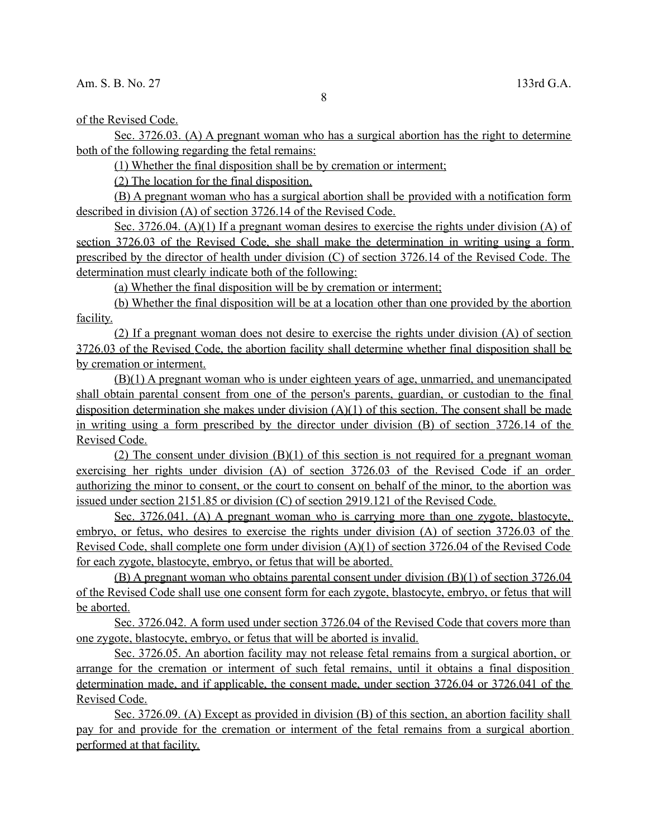of the Revised Code.

 Sec. 3726.03. (A) A pregnant woman who has a surgical abortion has the right to determine both of the following regarding the fetal remains:

(1) Whether the final disposition shall be by cremation or interment;

(2) The location for the final disposition.

(B) A pregnant woman who has a surgical abortion shall be provided with a notification form described in division (A) of section 3726.14 of the Revised Code.

Sec. 3726.04. (A)(1) If a pregnant woman desires to exercise the rights under division (A) of section 3726.03 of the Revised Code, she shall make the determination in writing using a form prescribed by the director of health under division (C) of section 3726.14 of the Revised Code. The determination must clearly indicate both of the following:

(a) Whether the final disposition will be by cremation or interment;

(b) Whether the final disposition will be at a location other than one provided by the abortion facility.

 (2) If a pregnant woman does not desire to exercise the rights under division (A) of section 3726.03 of the Revised Code, the abortion facility shall determine whether final disposition shall be by cremation or interment.

 (B)(1) A pregnant woman who is under eighteen years of age, unmarried, and unemancipated shall obtain parental consent from one of the person's parents, guardian, or custodian to the final disposition determination she makes under division (A)(1) of this section. The consent shall be made in writing using a form prescribed by the director under division (B) of section 3726.14 of the Revised Code.

(2) The consent under division  $(B)(1)$  of this section is not required for a pregnant woman exercising her rights under division (A) of section 3726.03 of the Revised Code if an order authorizing the minor to consent, or the court to consent on behalf of the minor, to the abortion was issued under section 2151.85 or division (C) of section 2919.121 of the Revised Code.

Sec. 3726.041. (A) A pregnant woman who is carrying more than one zygote, blastocyte, embryo, or fetus, who desires to exercise the rights under division (A) of section 3726.03 of the Revised Code, shall complete one form under division (A)(1) of section 3726.04 of the Revised Code for each zygote, blastocyte, embryo, or fetus that will be aborted.

 (B) A pregnant woman who obtains parental consent under division (B)(1) of section 3726.04 of the Revised Code shall use one consent form for each zygote, blastocyte, embryo, or fetus that will be aborted.

 Sec. 3726.042. A form used under section 3726.04 of the Revised Code that covers more than one zygote, blastocyte, embryo, or fetus that will be aborted is invalid.

 Sec. 3726.05. An abortion facility may not release fetal remains from a surgical abortion, or arrange for the cremation or interment of such fetal remains, until it obtains a final disposition determination made, and if applicable, the consent made, under section 3726.04 or 3726.041 of the Revised Code.

Sec. 3726.09. (A) Except as provided in division (B) of this section, an abortion facility shall pay for and provide for the cremation or interment of the fetal remains from a surgical abortion performed at that facility.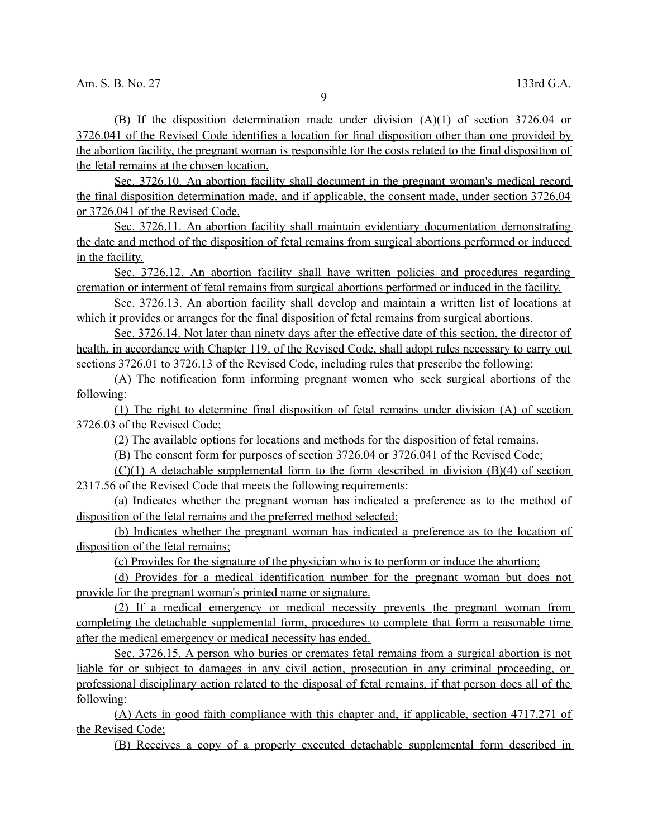(B) If the disposition determination made under division (A)(1) of section 3726.04 or 3726.041 of the Revised Code identifies a location for final disposition other than one provided by the abortion facility, the pregnant woman is responsible for the costs related to the final disposition of the fetal remains at the chosen location.

 Sec. 3726.10. An abortion facility shall document in the pregnant woman's medical record the final disposition determination made, and if applicable, the consent made, under section 3726.04 or 3726.041 of the Revised Code.

 Sec. 3726.11. An abortion facility shall maintain evidentiary documentation demonstrating the date and method of the disposition of fetal remains from surgical abortions performed or induced in the facility.

Sec. 3726.12. An abortion facility shall have written policies and procedures regarding cremation or interment of fetal remains from surgical abortions performed or induced in the facility.

 Sec. 3726.13. An abortion facility shall develop and maintain a written list of locations at which it provides or arranges for the final disposition of fetal remains from surgical abortions.

 Sec. 3726.14. Not later than ninety days after the effective date of this section, the director of health, in accordance with Chapter 119. of the Revised Code, shall adopt rules necessary to carry out sections 3726.01 to 3726.13 of the Revised Code, including rules that prescribe the following:

 (A) The notification form informing pregnant women who seek surgical abortions of the following:

 (1) The right to determine final disposition of fetal remains under division (A) of section 3726.03 of the Revised Code;

(2) The available options for locations and methods for the disposition of fetal remains.

(B) The consent form for purposes of section 3726.04 or 3726.041 of the Revised Code;

 $(C)(1)$  A detachable supplemental form to the form described in division  $(B)(4)$  of section 2317.56 of the Revised Code that meets the following requirements:

 (a) Indicates whether the pregnant woman has indicated a preference as to the method of disposition of the fetal remains and the preferred method selected;

 (b) Indicates whether the pregnant woman has indicated a preference as to the location of disposition of the fetal remains;

(c) Provides for the signature of the physician who is to perform or induce the abortion;

(d) Provides for a medical identification number for the pregnant woman but does not provide for the pregnant woman's printed name or signature.

 (2) If a medical emergency or medical necessity prevents the pregnant woman from completing the detachable supplemental form, procedures to complete that form a reasonable time after the medical emergency or medical necessity has ended.

 Sec. 3726.15. A person who buries or cremates fetal remains from a surgical abortion is not liable for or subject to damages in any civil action, prosecution in any criminal proceeding, or professional disciplinary action related to the disposal of fetal remains, if that person does all of the following:

 (A) Acts in good faith compliance with this chapter and, if applicable, section 4717.271 of the Revised Code;

(B) Receives a copy of a properly executed detachable supplemental form described in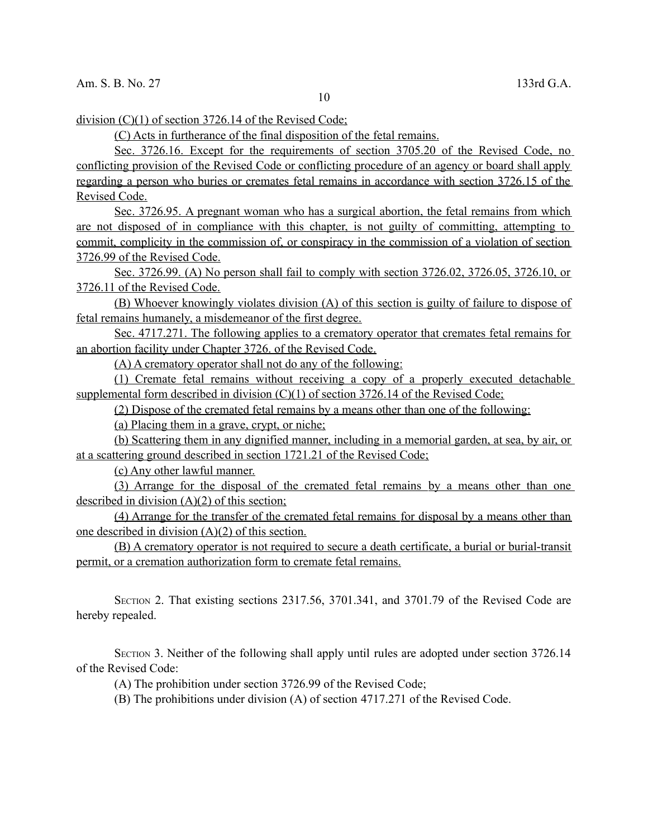division (C)(1) of section 3726.14 of the Revised Code;

(C) Acts in furtherance of the final disposition of the fetal remains.

 Sec. 3726.16. Except for the requirements of section 3705.20 of the Revised Code, no conflicting provision of the Revised Code or conflicting procedure of an agency or board shall apply regarding a person who buries or cremates fetal remains in accordance with section 3726.15 of the Revised Code.

 Sec. 3726.95. A pregnant woman who has a surgical abortion, the fetal remains from which are not disposed of in compliance with this chapter, is not guilty of committing, attempting to commit, complicity in the commission of, or conspiracy in the commission of a violation of section 3726.99 of the Revised Code.

 Sec. 3726.99. (A) No person shall fail to comply with section 3726.02, 3726.05, 3726.10, or 3726.11 of the Revised Code.

 (B) Whoever knowingly violates division (A) of this section is guilty of failure to dispose of fetal remains humanely, a misdemeanor of the first degree.

Sec. 4717.271. The following applies to a crematory operator that cremates fetal remains for an abortion facility under Chapter 3726. of the Revised Code.

(A) A crematory operator shall not do any of the following:

(1) Cremate fetal remains without receiving a copy of a properly executed detachable supplemental form described in division  $(C)(1)$  of section 3726.14 of the Revised Code;

(2) Dispose of the cremated fetal remains by a means other than one of the following:

(a) Placing them in a grave, crypt, or niche;

(b) Scattering them in any dignified manner, including in a memorial garden, at sea, by air, or at a scattering ground described in section 1721.21 of the Revised Code;

(c) Any other lawful manner.

 (3) Arrange for the disposal of the cremated fetal remains by a means other than one described in division (A)(2) of this section;

 (4) Arrange for the transfer of the cremated fetal remains for disposal by a means other than one described in division  $(A)(2)$  of this section.

 (B) A crematory operator is not required to secure a death certificate, a burial or burial-transit permit, or a cremation authorization form to cremate fetal remains.

SECTION 2. That existing sections 2317.56, 3701.341, and 3701.79 of the Revised Code are hereby repealed.

SECTION 3. Neither of the following shall apply until rules are adopted under section 3726.14 of the Revised Code:

(A) The prohibition under section 3726.99 of the Revised Code;

(B) The prohibitions under division (A) of section 4717.271 of the Revised Code.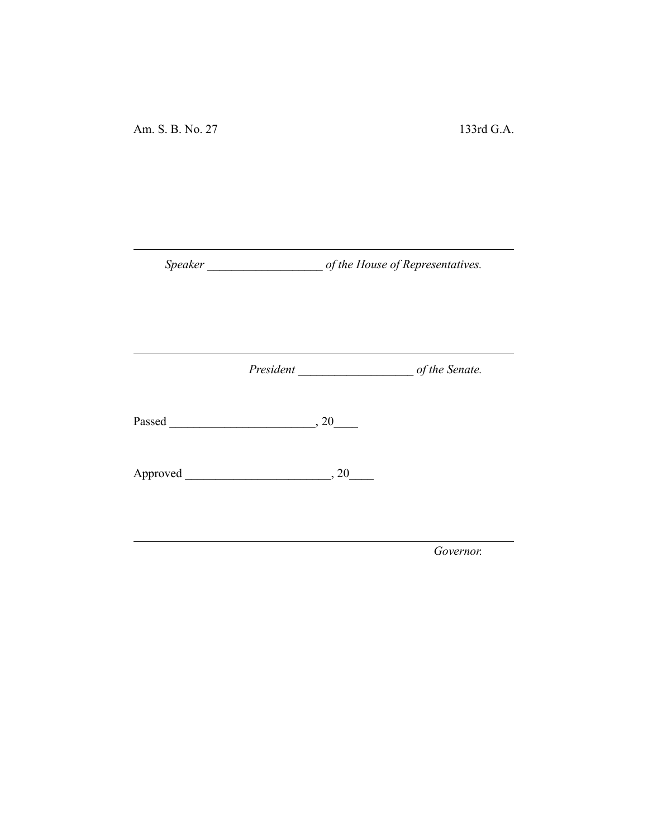Am. S. B. No. 27 133rd G.A.

*Speaker \_\_\_\_\_\_\_\_\_\_\_\_\_\_\_\_\_\_\_ of the House of Representatives.*

*President \_\_\_\_\_\_\_\_\_\_\_\_\_\_\_\_\_\_\_ of the Senate.*

Passed \_\_\_\_\_\_\_\_\_\_\_\_\_\_\_\_\_\_\_\_\_\_\_\_, 20\_\_\_\_

Approved \_\_\_\_\_\_\_\_\_\_\_\_\_\_\_\_\_\_\_\_\_\_\_\_, 20\_\_\_\_

*Governor.*